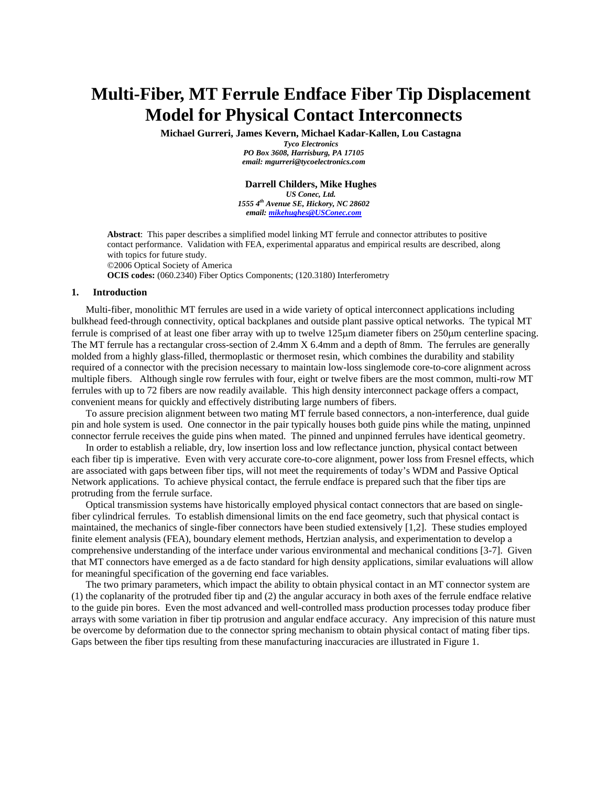# **Multi-Fiber, MT Ferrule Endface Fiber Tip Displacement Model for Physical Contact Interconnects**

**Michael Gurreri, James Kevern, Michael Kadar-Kallen, Lou Castagna** 

*Tyco Electronics PO Box 3608, Harrisburg, PA 17105 email: mgurreri@tycoelectronics.com* 

# **Darrell Childers, Mike Hughes**

*US Conec, Ltd. 1555 4th Avenue SE, Hickory, NC 28602 email: mikehughes@USConec.com*

**Abstract**: This paper describes a simplified model linking MT ferrule and connector attributes to positive contact performance. Validation with FEA, experimental apparatus and empirical results are described, along with topics for future study.

©2006 Optical Society of America **OCIS codes:** (060.2340) Fiber Optics Components; (120.3180) Interferometry

#### **1. Introduction**

Multi-fiber, monolithic MT ferrules are used in a wide variety of optical interconnect applications including bulkhead feed-through connectivity, optical backplanes and outside plant passive optical networks. The typical MT ferrule is comprised of at least one fiber array with up to twelve 125μm diameter fibers on 250μm centerline spacing. The MT ferrule has a rectangular cross-section of 2.4mm X 6.4mm and a depth of 8mm. The ferrules are generally molded from a highly glass-filled, thermoplastic or thermoset resin, which combines the durability and stability required of a connector with the precision necessary to maintain low-loss singlemode core-to-core alignment across multiple fibers. Although single row ferrules with four, eight or twelve fibers are the most common, multi-row MT ferrules with up to 72 fibers are now readily available. This high density interconnect package offers a compact, convenient means for quickly and effectively distributing large numbers of fibers.

To assure precision alignment between two mating MT ferrule based connectors, a non-interference, dual guide pin and hole system is used. One connector in the pair typically houses both guide pins while the mating, unpinned connector ferrule receives the guide pins when mated. The pinned and unpinned ferrules have identical geometry.

In order to establish a reliable, dry, low insertion loss and low reflectance junction, physical contact between each fiber tip is imperative. Even with very accurate core-to-core alignment, power loss from Fresnel effects, which are associated with gaps between fiber tips, will not meet the requirements of today's WDM and Passive Optical Network applications. To achieve physical contact, the ferrule endface is prepared such that the fiber tips are protruding from the ferrule surface.

Optical transmission systems have historically employed physical contact connectors that are based on singlefiber cylindrical ferrules. To establish dimensional limits on the end face geometry, such that physical contact is maintained, the mechanics of single-fiber connectors have been studied extensively [1,2]. These studies employed finite element analysis (FEA), boundary element methods, Hertzian analysis, and experimentation to develop a comprehensive understanding of the interface under various environmental and mechanical conditions [3-7]. Given that MT connectors have emerged as a de facto standard for high density applications, similar evaluations will allow for meaningful specification of the governing end face variables.

The two primary parameters, which impact the ability to obtain physical contact in an MT connector system are (1) the coplanarity of the protruded fiber tip and (2) the angular accuracy in both axes of the ferrule endface relative to the guide pin bores. Even the most advanced and well-controlled mass production processes today produce fiber arrays with some variation in fiber tip protrusion and angular endface accuracy. Any imprecision of this nature must be overcome by deformation due to the connector spring mechanism to obtain physical contact of mating fiber tips. Gaps between the fiber tips resulting from these manufacturing inaccuracies are illustrated in Figure 1.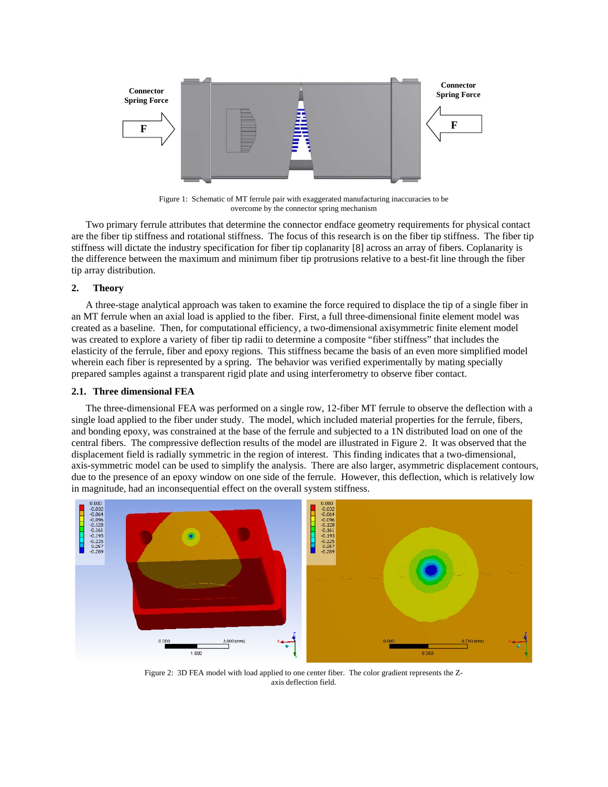

Figure 1: Schematic of MT ferrule pair with exaggerated manufacturing inaccuracies to be overcome by the connector spring mechanism

Two primary ferrule attributes that determine the connector endface geometry requirements for physical contact are the fiber tip stiffness and rotational stiffness. The focus of this research is on the fiber tip stiffness. The fiber tip stiffness will dictate the industry specification for fiber tip coplanarity [8] across an array of fibers. Coplanarity is the difference between the maximum and minimum fiber tip protrusions relative to a best-fit line through the fiber tip array distribution.

#### **2. Theory**

A three-stage analytical approach was taken to examine the force required to displace the tip of a single fiber in an MT ferrule when an axial load is applied to the fiber. First, a full three-dimensional finite element model was created as a baseline. Then, for computational efficiency, a two-dimensional axisymmetric finite element model was created to explore a variety of fiber tip radii to determine a composite "fiber stiffness" that includes the elasticity of the ferrule, fiber and epoxy regions. This stiffness became the basis of an even more simplified model wherein each fiber is represented by a spring. The behavior was verified experimentally by mating specially prepared samples against a transparent rigid plate and using interferometry to observe fiber contact.

#### **2.1. Three dimensional FEA**

The three-dimensional FEA was performed on a single row, 12-fiber MT ferrule to observe the deflection with a single load applied to the fiber under study. The model, which included material properties for the ferrule, fibers, and bonding epoxy, was constrained at the base of the ferrule and subjected to a 1N distributed load on one of the central fibers. The compressive deflection results of the model are illustrated in Figure 2. It was observed that the displacement field is radially symmetric in the region of interest. This finding indicates that a two-dimensional, axis-symmetric model can be used to simplify the analysis. There are also larger, asymmetric displacement contours, due to the presence of an epoxy window on one side of the ferrule. However, this deflection, which is relatively low in magnitude, had an inconsequential effect on the overall system stiffness.



Figure 2: 3D FEA model with load applied to one center fiber. The color gradient represents the Zaxis deflection field.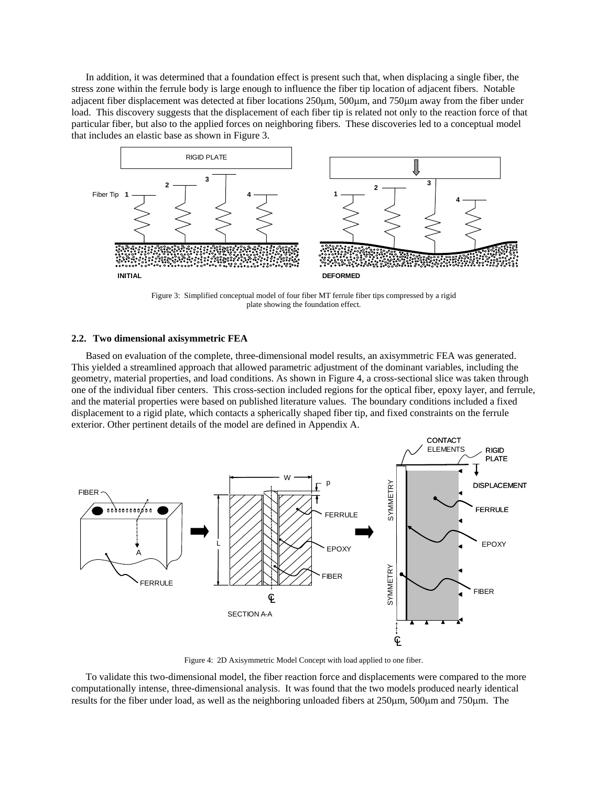In addition, it was determined that a foundation effect is present such that, when displacing a single fiber, the stress zone within the ferrule body is large enough to influence the fiber tip location of adjacent fibers. Notable adjacent fiber displacement was detected at fiber locations 250μm, 500μm, and 750μm away from the fiber under load. This discovery suggests that the displacement of each fiber tip is related not only to the reaction force of that particular fiber, but also to the applied forces on neighboring fibers. These discoveries led to a conceptual model that includes an elastic base as shown in Figure 3.



Figure 3: Simplified conceptual model of four fiber MT ferrule fiber tips compressed by a rigid plate showing the foundation effect.

#### **2.2. Two dimensional axisymmetric FEA**

Based on evaluation of the complete, three-dimensional model results, an axisymmetric FEA was generated. This yielded a streamlined approach that allowed parametric adjustment of the dominant variables, including the geometry, material properties, and load conditions. As shown in Figure 4, a cross-sectional slice was taken through one of the individual fiber centers. This cross-section included regions for the optical fiber, epoxy layer, and ferrule, and the material properties were based on published literature values. The boundary conditions included a fixed displacement to a rigid plate, which contacts a spherically shaped fiber tip, and fixed constraints on the ferrule exterior. Other pertinent details of the model are defined in Appendix A.



Figure 4: 2D Axisymmetric Model Concept with load applied to one fiber.

To validate this two-dimensional model, the fiber reaction force and displacements were compared to the more computationally intense, three-dimensional analysis. It was found that the two models produced nearly identical results for the fiber under load, as well as the neighboring unloaded fibers at 250μm, 500μm and 750μm. The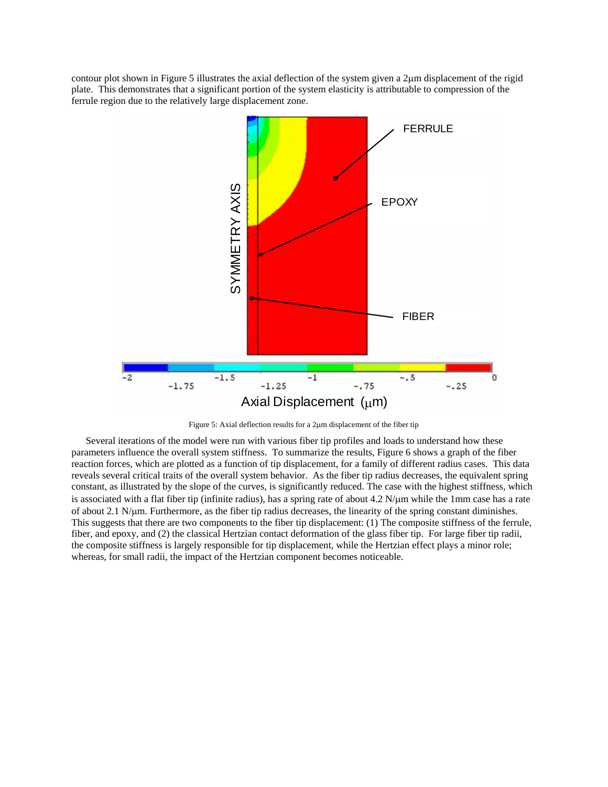contour plot shown in Figure 5 illustrates the axial deflection of the system given a 2μm displacement of the rigid plate. This demonstrates that a significant portion of the system elasticity is attributable to compression of the ferrule region due to the relatively large displacement zone.



Figure 5: Axial deflection results for a 2μm displacement of the fiber tip

Several iterations of the model were run with various fiber tip profiles and loads to understand how these parameters influence the overall system stiffness. To summarize the results, Figure 6 shows a graph of the fiber reaction forces, which are plotted as a function of tip displacement, for a family of different radius cases. This data reveals several critical traits of the overall system behavior. As the fiber tip radius decreases, the equivalent spring constant, as illustrated by the slope of the curves, is significantly reduced. The case with the highest stiffness, which is associated with a flat fiber tip (infinite radius), has a spring rate of about 4.2 N/µm while the 1mm case has a rate of about 2.1  $N/\mu$ m. Furthermore, as the fiber tip radius decreases, the linearity of the spring constant diminishes. This suggests that there are two components to the fiber tip displacement: (1) The composite stiffness of the ferrule, fiber, and epoxy, and (2) the classical Hertzian contact deformation of the glass fiber tip. For large fiber tip radii, the composite stiffness is largely responsible for tip displacement, while the Hertzian effect plays a minor role; whereas, for small radii, the impact of the Hertzian component becomes noticeable.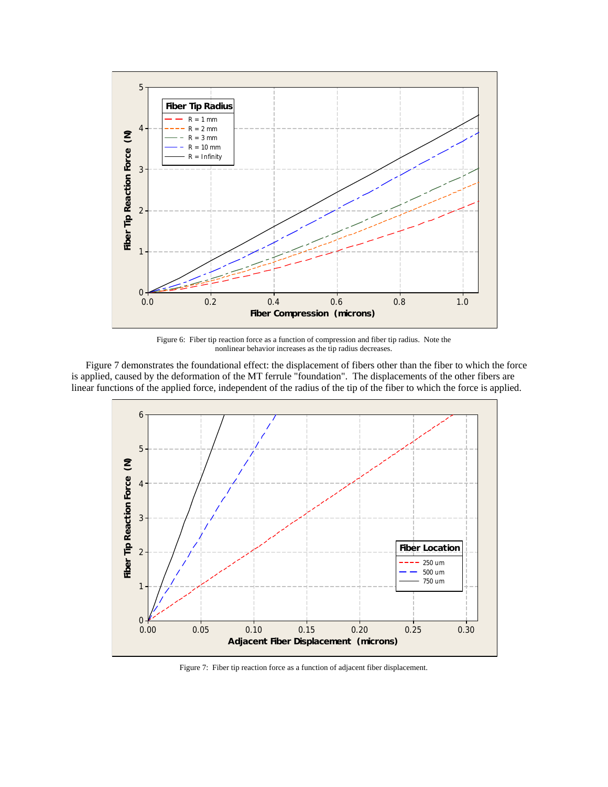

Figure 6: Fiber tip reaction force as a function of compression and fiber tip radius. Note the nonlinear behavior increases as the tip radius decreases.

Figure 7 demonstrates the foundational effect: the displacement of fibers other than the fiber to which the force is applied, caused by the deformation of the MT ferrule "foundation". The displacements of the other fibers are linear functions of the applied force, independent of the radius of the tip of the fiber to which the force is applied.



Figure 7: Fiber tip reaction force as a function of adjacent fiber displacement.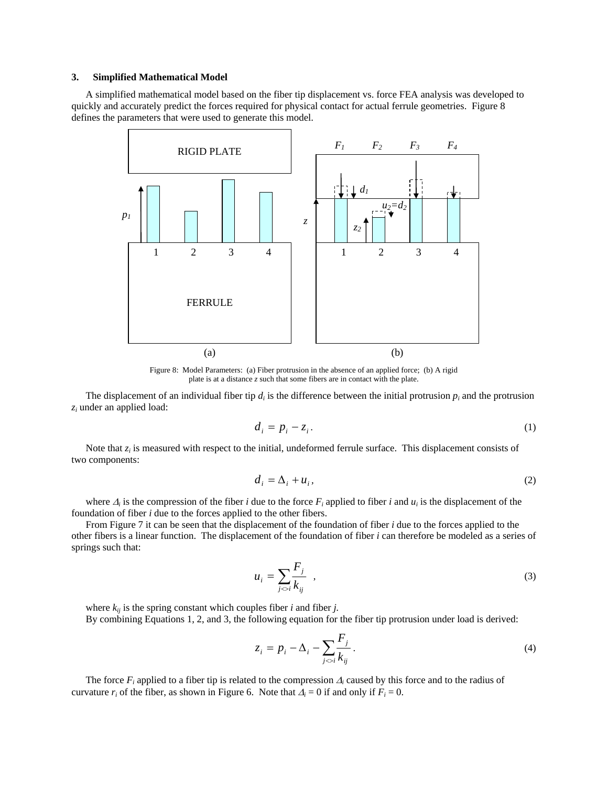# **3. Simplified Mathematical Model**

A simplified mathematical model based on the fiber tip displacement vs. force FEA analysis was developed to quickly and accurately predict the forces required for physical contact for actual ferrule geometries. Figure 8 defines the parameters that were used to generate this model.



Figure 8: Model Parameters: (a) Fiber protrusion in the absence of an applied force; (b) A rigid plate is at a distance *z* such that some fibers are in contact with the plate.

The displacement of an individual fiber tip  $d_i$  is the difference between the initial protrusion  $p_i$  and the protrusion *zi* under an applied load:

$$
d_i = p_i - z_i. \tag{1}
$$

Note that  $z_i$  is measured with respect to the initial, undeformed ferrule surface. This displacement consists of two components:

$$
d_i = \Delta_i + u_i,\tag{2}
$$

where  $\Delta_i$  is the compression of the fiber *i* due to the force  $F_i$  applied to fiber *i* and  $u_i$  is the displacement of the foundation of fiber *i* due to the forces applied to the other fibers.

From Figure 7 it can be seen that the displacement of the foundation of fiber *i* due to the forces applied to the other fibers is a linear function. The displacement of the foundation of fiber *i* can therefore be modeled as a series of springs such that:

$$
u_i = \sum_{j \sim i} \frac{F_j}{k_{ij}} \tag{3}
$$

where  $k_{ij}$  is the spring constant which couples fiber *i* and fiber *j*. By combining Equations 1, 2, and 3, the following equation for the fiber tip protrusion under load is derived:

$$
z_i = p_i - \Delta_i - \sum_{j \sim i} \frac{F_j}{k_{ij}}.
$$
\n<sup>(4)</sup>

The force  $F_i$  applied to a fiber tip is related to the compression  $\Delta_i$  caused by this force and to the radius of curvature  $r_i$  of the fiber, as shown in Figure 6. Note that  $\Delta_i = 0$  if and only if  $F_i = 0$ .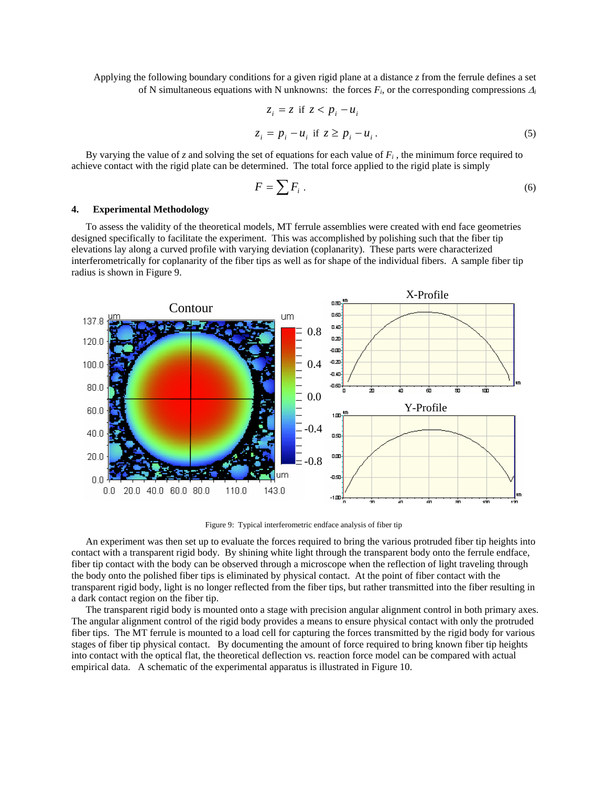Applying the following boundary conditions for a given rigid plane at a distance *z* from the ferrule defines a set of N simultaneous equations with N unknowns: the forces  $F_i$ , or the corresponding compressions  $\Delta_i$ 

$$
z_i = z \text{ if } z < p_i - u_i
$$
\n
$$
z_i = p_i - u_i \text{ if } z \ge p_i - u_i. \tag{5}
$$

By varying the value of  $\zeta$  and solving the set of equations for each value of  $F_i$ , the minimum force required to achieve contact with the rigid plate can be determined. The total force applied to the rigid plate is simply

$$
F = \sum F_i \tag{6}
$$

#### **4. Experimental Methodology**

To assess the validity of the theoretical models, MT ferrule assemblies were created with end face geometries designed specifically to facilitate the experiment. This was accomplished by polishing such that the fiber tip elevations lay along a curved profile with varying deviation (coplanarity). These parts were characterized interferometrically for coplanarity of the fiber tips as well as for shape of the individual fibers. A sample fiber tip radius is shown in Figure 9.



Figure 9: Typical interferometric endface analysis of fiber tip

An experiment was then set up to evaluate the forces required to bring the various protruded fiber tip heights into contact with a transparent rigid body. By shining white light through the transparent body onto the ferrule endface, fiber tip contact with the body can be observed through a microscope when the reflection of light traveling through the body onto the polished fiber tips is eliminated by physical contact. At the point of fiber contact with the transparent rigid body, light is no longer reflected from the fiber tips, but rather transmitted into the fiber resulting in a dark contact region on the fiber tip.

The transparent rigid body is mounted onto a stage with precision angular alignment control in both primary axes. The angular alignment control of the rigid body provides a means to ensure physical contact with only the protruded fiber tips. The MT ferrule is mounted to a load cell for capturing the forces transmitted by the rigid body for various stages of fiber tip physical contact. By documenting the amount of force required to bring known fiber tip heights into contact with the optical flat, the theoretical deflection vs. reaction force model can be compared with actual empirical data. A schematic of the experimental apparatus is illustrated in Figure 10.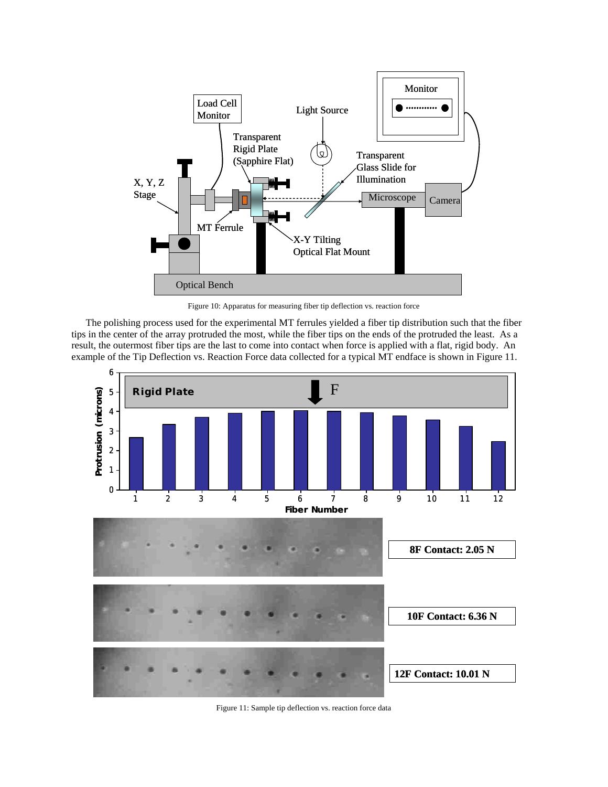

Figure 10: Apparatus for measuring fiber tip deflection vs. reaction force

The polishing process used for the experimental MT ferrules yielded a fiber tip distribution such that the fiber tips in the center of the array protruded the most, while the fiber tips on the ends of the protruded the least. As a result, the outermost fiber tips are the last to come into contact when force is applied with a flat, rigid body. An example of the Tip Deflection vs. Reaction Force data collected for a typical MT endface is shown in Figure 11.



Figure 11: Sample tip deflection vs. reaction force data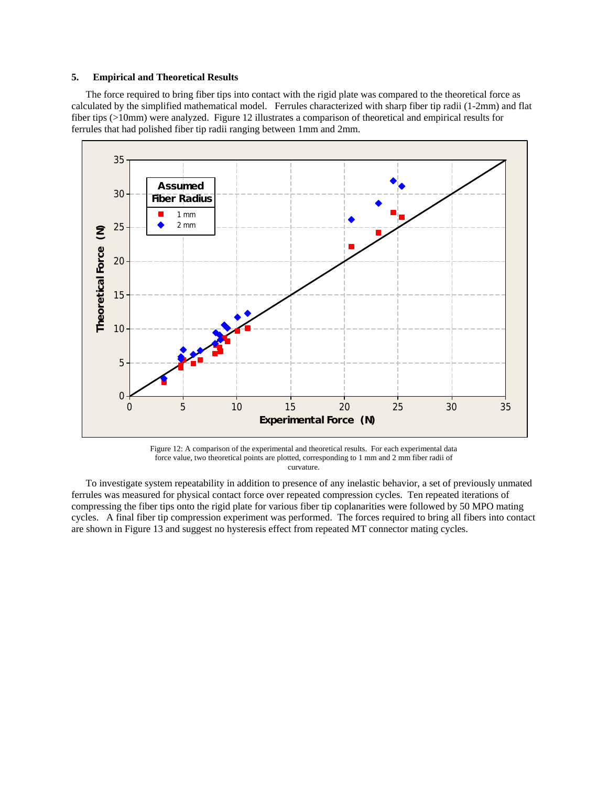# **5. Empirical and Theoretical Results**

The force required to bring fiber tips into contact with the rigid plate was compared to the theoretical force as calculated by the simplified mathematical model. Ferrules characterized with sharp fiber tip radii (1-2mm) and flat fiber tips (>10mm) were analyzed. Figure 12 illustrates a comparison of theoretical and empirical results for ferrules that had polished fiber tip radii ranging between 1mm and 2mm.



Figure 12: A comparison of the experimental and theoretical results. For each experimental data force value, two theoretical points are plotted, corresponding to 1 mm and 2 mm fiber radii of curvature.

To investigate system repeatability in addition to presence of any inelastic behavior, a set of previously unmated ferrules was measured for physical contact force over repeated compression cycles. Ten repeated iterations of compressing the fiber tips onto the rigid plate for various fiber tip coplanarities were followed by 50 MPO mating cycles. A final fiber tip compression experiment was performed. The forces required to bring all fibers into contact are shown in Figure 13 and suggest no hysteresis effect from repeated MT connector mating cycles.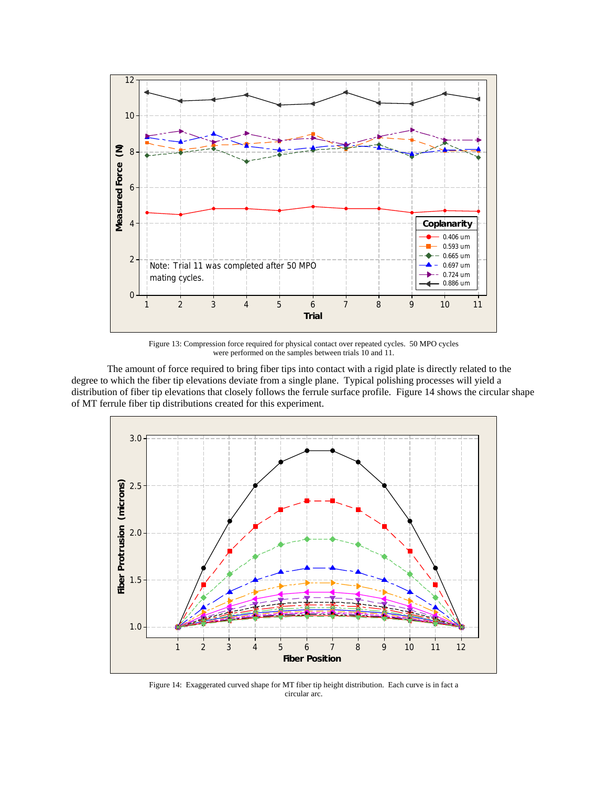

Figure 13: Compression force required for physical contact over repeated cycles. 50 MPO cycles were performed on the samples between trials 10 and 11.

The amount of force required to bring fiber tips into contact with a rigid plate is directly related to the degree to which the fiber tip elevations deviate from a single plane. Typical polishing processes will yield a distribution of fiber tip elevations that closely follows the ferrule surface profile. Figure 14 shows the circular shape of MT ferrule fiber tip distributions created for this experiment.



Figure 14: Exaggerated curved shape for MT fiber tip height distribution. Each curve is in fact a circular arc.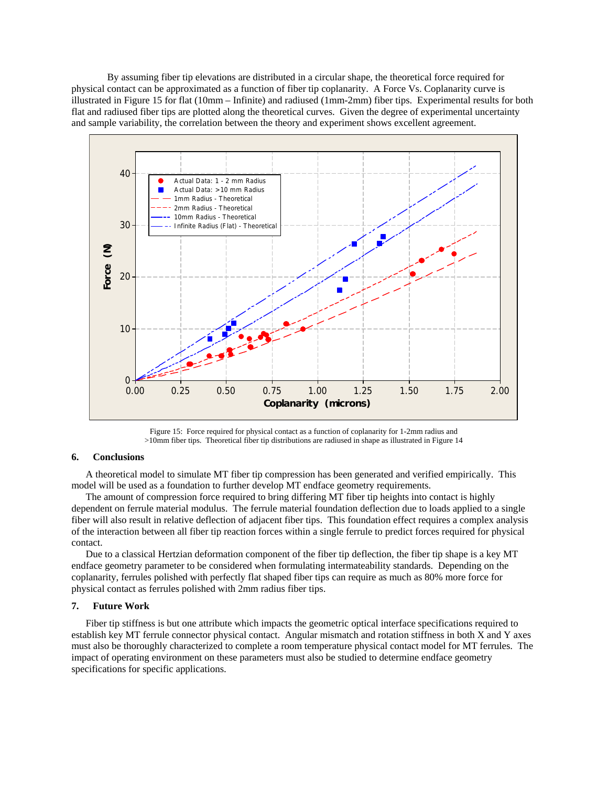By assuming fiber tip elevations are distributed in a circular shape, the theoretical force required for physical contact can be approximated as a function of fiber tip coplanarity. A Force Vs. Coplanarity curve is illustrated in Figure 15 for flat (10mm – Infinite) and radiused (1mm-2mm) fiber tips. Experimental results for both flat and radiused fiber tips are plotted along the theoretical curves. Given the degree of experimental uncertainty and sample variability, the correlation between the theory and experiment shows excellent agreement.



Figure 15: Force required for physical contact as a function of coplanarity for 1-2mm radius and >10mm fiber tips. Theoretical fiber tip distributions are radiused in shape as illustrated in Figure 14

# **6. Conclusions**

A theoretical model to simulate MT fiber tip compression has been generated and verified empirically. This model will be used as a foundation to further develop MT endface geometry requirements.

The amount of compression force required to bring differing MT fiber tip heights into contact is highly dependent on ferrule material modulus. The ferrule material foundation deflection due to loads applied to a single fiber will also result in relative deflection of adjacent fiber tips. This foundation effect requires a complex analysis of the interaction between all fiber tip reaction forces within a single ferrule to predict forces required for physical contact.

Due to a classical Hertzian deformation component of the fiber tip deflection, the fiber tip shape is a key MT endface geometry parameter to be considered when formulating intermateability standards. Depending on the coplanarity, ferrules polished with perfectly flat shaped fiber tips can require as much as 80% more force for physical contact as ferrules polished with 2mm radius fiber tips.

# **7. Future Work**

Fiber tip stiffness is but one attribute which impacts the geometric optical interface specifications required to establish key MT ferrule connector physical contact. Angular mismatch and rotation stiffness in both X and Y axes must also be thoroughly characterized to complete a room temperature physical contact model for MT ferrules. The impact of operating environment on these parameters must also be studied to determine endface geometry specifications for specific applications.